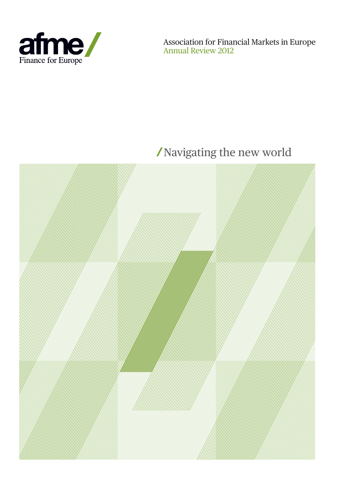

Association for Financial Markets in Europe Annual Review 2012

# Navigating the new world

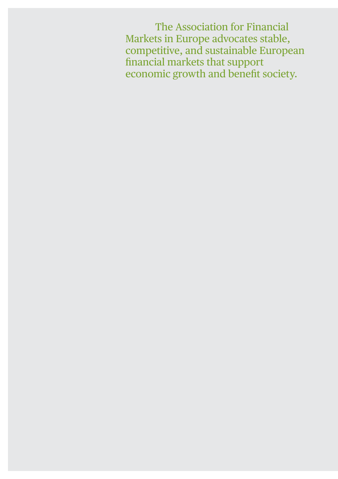The Association for Financial Markets in Europe advocates stable, competitive, and sustainable European financial markets that support economic growth and benefit society.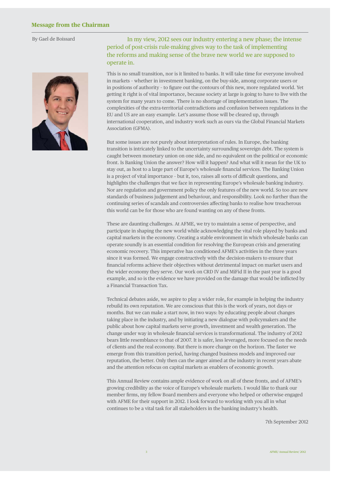By Gael de Boissard



#### In my view, 2012 sees our industry entering a new phase; the intense period of post-crisis rule-making gives way to the task of implementing the reforms and making sense of the brave new world we are supposed to operate in.

This is no small transition, nor is it limited to banks. It will take time for everyone involved in markets – whether in investment banking, on the buy-side, among corporate users or in positions of authority - to figure out the contours of this new, more regulated world. Yet getting it right is of vital importance, because society at large is going to have to live with the system for many years to come. There is no shortage of implementation issues. The complexities of the extra-territorial contradictions and confusion between regulations in the EU and US are an easy example. Let's assume those will be cleared up, through international cooperation, and industry work such as ours via the Global Financial Markets Association (GFMA).

But some issues are not purely about interpretation of rules. In Europe, the banking transition is intricately linked to the uncertainty surrounding sovereign debt. The system is caught between monetary union on one side, and no equivalent on the political or economic front. Is Banking Union the answer? How will it happen? And what will it mean for the UK to stay out, as host to a large part of Europe's wholesale financial services. The Banking Union is a project of vital importance - but it, too, raises all sorts of difficult questions, and highlights the challenges that we face in representing Europe's wholesale banking industry. Nor are regulation and government policy the only features of the new world. So too are new standards of business judgement and behaviour, and responsibility. Look no further than the continuing series of scandals and controversies affecting banks to realise how treacherous this world can be for those who are found wanting on any of these fronts.

These are daunting challenges. At AFME, we try to maintain a sense of perspective, and participate in shaping the new world while acknowledging the vital role played by banks and capital markets in the economy. Creating a stable environment in which wholesale banks can operate soundly is an essential condition for resolving the European crisis and generating economic recovery. This imperative has conditioned AFME's activities in the three years since it was formed. We engage constructively with the decision-makers to ensure that financial reforms achieve their objectives without detrimental impact on market users and the wider economy they serve. Our work on CRD IV and MiFid II in the past year is a good example, and so is the evidence we have provided on the damage that would be inflicted by a Financial Transaction Tax.

Technical debates aside, we aspire to play a wider role, for example in helping the industry rebuild its own reputation. We are conscious that this is the work of years, not days or months. But we can make a start now, in two ways: by educating people about changes taking place in the industry, and by initiating a new dialogue with policymakers and the public about how capital markets serve growth, investment and wealth generation. The change under way in wholesale financial services is transformational. The industry of 2012 bears little resemblance to that of 2007. It is safer, less leveraged, more focused on the needs of clients and the real economy. But there is more change on the horizon. The faster we emerge from this transition period, having changed business models and improved our reputation, the better. Only then can the anger aimed at the industry in recent years abate and the attention refocus on capital markets as enablers of economic growth.

This Annual Review contains ample evidence of work on all of these fronts, and of AFME's growing credibility as the voice of Europe's wholesale markets. I would like to thank our member firms, my fellow Board members and everyone who helped or otherwise engaged with AFME for their support in 2012. I look forward to working with you all in what continues to be a vital task for all stakeholders in the banking industry's health.

7th September 2012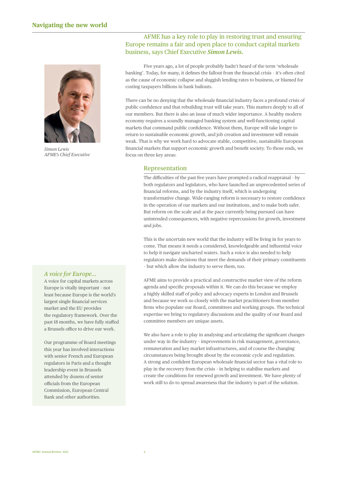

*Simon Lewis AFME's Chief Executive*

#### *A voice for Europe...*

A voice for capital markets across Europe is vitally important – not least because Europe is the world's largest single financial services market and the EU provides the regulatory framework. Over the past 18 months, we have fully staffed a Brussels office to drive our work.

Our programme of Board meetings this year has involved interactions with senior French and European regulators in Paris and a thought leadership event in Brussels attended by dozens of senior officials from the European Commission, European Central Bank and other authorities.

#### AFME has a key role to play in restoring trust and ensuring Europe remains a fair and open place to conduct capital markets business, says Chief Executive *Simon Lewis.*

 Five years ago, a lot of people probably hadn't heard of the term 'wholesale banking'. Today, for many, it defines the fallout from the financial crisis - it's often cited as the cause of economic collapse and sluggish lending rates to business, or blamed for costing taxpayers billions in bank bailouts.

There can be no denying that the wholesale financial industry faces a profound crisis of public confidence and that rebuilding trust will take years. This matters deeply to all of our members. But there is also an issue of much wider importance. A healthy modern economy requires a soundly managed banking system and well-functioning capital markets that command public confidence. Without them, Europe will take longer to return to sustainable economic growth, and job creation and investment will remain weak. That is why we work hard to advocate stable, competitive, sustainable European financial markets that support economic growth and benefit society. To those ends, we focus on three key areas:

#### **Representation**

The difficulties of the past five years have prompted a radical reappraisal - by both regulators and legislators, who have launched an unprecedented series of financial reforms, and by the industry itself, which is undergoing transformative change. Wide-ranging reform is necessary to restore confidence in the operation of our markets and our institutions, and to make both safer. But reform on the scale and at the pace currently being pursued can have unintended consequences, with negative repercussions for growth, investment and jobs.

 This is the uncertain new world that the industry will be living in for years to come. That means it needs a considered, knowledgeable and influential voice to help it navigate uncharted waters. Such a voice is also needed to help regulators make decisions that meet the demands of their primary constituents – but which allow the industry to serve them, too.

 AFME aims to provide a practical and constructive market view of the reform agenda and specific proposals within it. We can do this because we employ a highly skilled staff of policy and advocacy experts in London and Brussels and because we work so closely with the market practitioners from member firms who populate our Board, committees and working groups. The technical expertise we bring to regulatory discussions and the quality of our Board and committee members are unique assets.

We also have a role to play in analysing and articulating the significant changes under way in the industry – improvements in risk management, governance, remuneration and key market infrastructures, and of course the changing circumstances being brought about by the economic cycle and regulation. A strong and confident European wholesale financial sector has a vital role to play in the recovery from the crisis – in helping to stabilise markets and create the conditions for renewed growth and investment. We have plenty of work still to do to spread awareness that the industry is part of the solution.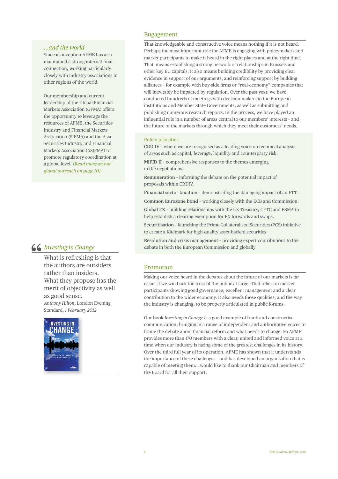#### *...and the world*

Since its inception AFME has also maintained a strong international connection, working particularly closely with industry associations in other regions of the world.

Our membership and current leadership of the Global Financial Markets Association (GFMA) offers the opportunity to leverage the resources of AFME, the Securities Industry and Financial Markets Association (SIFMA) and the Asia Securities Industry and Financial Markets Association (ASIFMA) to promote regulatory coordination at a global level. *[Read more on our global outreach on page 10].*

#### *Investing in Change*

What is refreshing is that the authors are outsiders rather than insiders. What they propose has the merit of objectivity as well as good sense. *Anthony Hilton,* London Evening Standard*, 1 February 2012*



#### Engagement

 That knowledgeable and constructive voice means nothing if it is not heard. Perhaps the most important role for AFME is engaging with policymakers and market participants to make it heard in the right places and at the right time. That means establishing a strong network of relationships in Brussels and other key EU capitals. It also means building credibility by providing clear evidence in support of our arguments, and reinforcing support by building alliances - for example with buy-side firms or "real-economy" companies that will inevitably be impacted by regulation. Over the past year, we have conducted hundreds of meetings with decision-makers in the European institutions and Member State Governments, as well as submitting and publishing numerous research reports. In the process, we have played an influential role in a number of areas central to our members' interests - and the future of the markets through which they meet their customers' needs.

#### **Policy priorities**

 **CRD IV** – where we are recognised as a leading voice on technical analysis of areas such as capital, leverage, liquidity and counterparty risk.

 **MiFID II** – comprehensive responses to the themes emerging in the negotiations.

 **Remuneration** – informing the debate on the potential impact of proposals within CRDIV.

**Financial sector taxation** – demonstrating the damaging impact of an FTT.

**Common Eurozone bond** – working closely with the ECB and Commission.

 **Global FX** – building relationships with the US Treasury, CFTC and ESMA to help establish a clearing exemption for FX forwards and swaps.

 **Securitisation** – launching the Prime Collateralised Securities (PCS) initiative to create a Kitemark for high-quality asset-backed securities.

 **Resolution and crisis management** – providing expert contributions to the debate in both the European Commission and globally.

#### **Promotion**

 Making our voice heard in the debates about the future of our markets is far easier if we win back the trust of the public at large. That relies on market participants showing good governance, excellent management and a clear contribution to the wider economy. It also needs those qualities, and the way the industry is changing, to be properly articulated in public forums.

Our book *Investing in Change* is a good example of frank and constructive communication, bringing in a range of independent and authoritative voices to frame the debate about financial reform and what needs to change. So AFME provides more than 170 members with a clear, united and informed voice at a time when our industry is facing some of the greatest challenges in its history. Over the third full year of its operation, AFME has shown that it understands the importance of these challenges – and has developed an organisation that is capable of meeting them. I would like to thank our Chairman and members of the Board for all their support.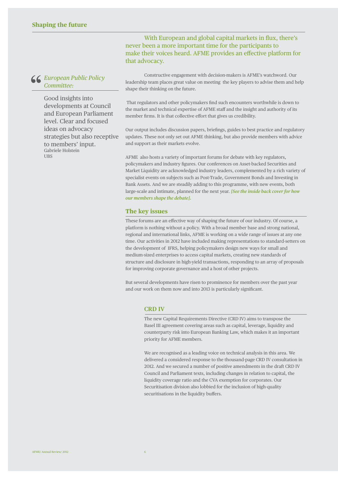With European and global capital markets in flux, there's never been a more important time for the participants to make their voices heard. AFME provides an effective platform for that advocacy.

 Constructive engagement with decision-makers is AFME's watchword. Our leadership team places great value on meeting the key players to advise them and help shape their thinking on the future.

That regulators and other policymakers find such encounters worthwhile is down to the market and technical expertise of AFME staff and the insight and authority of its member firms. It is that collective effort that gives us credibility.

Our output includes discussion papers, briefings, guides to best practice and regulatory updates. These not only set out AFME thinking, but also provide members with advice and support as their markets evolve.

AFME also hosts a variety of important forums for debate with key regulators, policymakers and industry figures. Our conferences on Asset-backed Securities and Market Liquidity are acknowledged industry leaders, complemented by a rich variety of specialist events on subjects such as Post-Trade, Government Bonds and Investing in Bank Assets. And we are steadily adding to this programme, with new events, both large-scale and intimate, planned for the next year. *[See the inside back cover for how our members shape the debate].*

#### **The key issues**

These forums are an effective way of shaping the future of our industry. Of course, a platform is nothing without a policy. With a broad member base and strong national, regional and international links, AFME is working on a wide range of issues at any one time. Our activities in 2012 have included making representations to standard-setters on the development of IFRS, helping policymakers design new ways for small and medium-sized enterprises to access capital markets, creating new standards of structure and disclosure in high-yield transactions, responding to an array of proposals for improving corporate governance and a host of other projects.

But several developments have risen to prominence for members over the past year and our work on them now and into 2013 is particularly significant.

#### **CRD IV**

 The new Capital Requirements Directive (CRD IV) aims to transpose the Basel III agreement covering areas such as capital, leverage, liquidity and counterparty risk into European Banking Law, which makes it an important priority for AFME members.

 We are recognised as a leading voice on technical analysis in this area. We delivered a considered response to the thousand-page CRD IV consultation in 2012. And we secured a number of positive amendments in the draft CRD IV Council and Parliament texts, including changes in relation to capital, the liquidity coverage ratio and the CVA exemption for corporates. Our Securitisation division also lobbied for the inclusion of high-quality securitisations in the liquidity buffers.

*European Public Policy* 

Good insights into developments at Council and European Parliament level. Clear and focused ideas on advocacy strategies but also receptive to members' input. Gabriele Holstein **LIBS**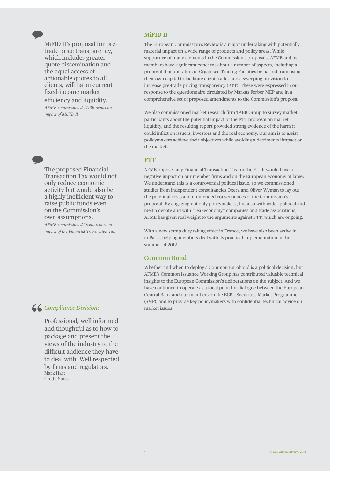MiFID II's proposal for pretrade price transparency, which includes greater quote dissemination and the equal access of actionable quotes to all clients, will harm current fi xed-income market

efficiency and liquidity. *AFME-commissioned TABB report on impact of MiFID II*

The proposed Financial Transaction Tax would not only reduce economic activity but would also be a highly inefficient way to raise public funds even on the Commission's own assumptions.

*AFME-commissioned Oxera report on impact of the Financial Transaction Tax*

#### *Compliance Division:*

Professional, well informed and thoughtful as to how to package and present the views of the industry to the difficult audience they have to deal with. Well respected by firms and regulators. Mark Hart Credit Suisse

#### **MiFID II**

 The European Commission's Review is a major undertaking with potentially material impact on a wide range of products and policy areas. While supportive of many elements in the Commission's proposals, AFME and its members have significant concerns about a number of aspects, including a proposal that operators of Organised Trading Facilities be barred from using their own capital to facilitate client trades and a sweeping provision to increase pre-trade pricing transparency (PTT). These were expressed in our response to the questionnaire circulated by Markus Ferber MEP and in a comprehensive set of proposed amendments to the Commission's proposal.

We also commissioned market research firm TABB Group to survey market participants about the potential impact of the PTT proposal on market liquidity, and the resulting report provided strong evidence of the harm it could inflict on issuers, investors and the real economy. Our aim is to assist policymakers achieve their objectives while avoiding a detrimental impact on the markets.

#### **FTT**

 AFME opposes any Financial Transaction Tax for the EU. It would have a negative impact on our member firms and on the European economy at large. We understand this is a controversial political issue, so we commissioned studies from independent consultancies Oxera and Oliver Wyman to lay out the potential costs and unintended consequences of the Commission's proposal. By engaging not only policymakers, but also with wider political and media debate and with "real-economy" companies and trade associations, AFME has given real weight to the arguments against FTT, which are ongoing.

With a new stamp duty taking effect in France, we have also been active in in Paris, helping members deal with its practical implementation in the summer of 2012.

#### **Common Bond**

 Whether and when to deploy a Common Eurobond is a political decision, but AFME's Common Issuance Working Group has contributed valuable technical insights to the European Commission's deliberations on the subject. And we have continued to operate as a focal point for dialogue between the European Central Bank and our members on the ECB's Securities Market Programme (SMP), and to provide key policymakers with confidential technical advice on market issues.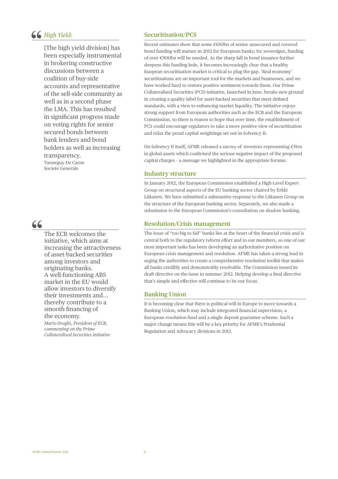#### *High Yield:*

[The high yield division] has been especially instrumental in brokering constructive discussions between a coalition of buy-side accounts and representative of the sell-side community as well as in a second phase the LMA. This has resulted in significant progress made on voting rights for senior secured bonds between bank lenders and bond holders as well as increasing transparency. Tanneguy De Carne Societe Generale

### 66

The ECB welcomes the initiative, which aims at increasing the attractiveness of asset -backed securities among investors and originating banks. A well -functioning ABS market in the EU would allow investors to diversify their investments and... thereby contribute to a smooth financing of the economy.

*Mario Draghi, President of ECB, commenting on the Prime Collateralised Securities initiative*

#### **Securitisation/PCS**

 Recent estimates show that some €650bn of senior unsecured and covered bond funding will mature in 2012 for European banks; for sovereigns, funding of over €900bn will be needed. As the sharp fall in bond issuance further deepens this funding hole, it becomes increasingly clear that a healthy Euopean securitisation market is critical to plug the gap. 'Real economy' securitisations are an important tool for the markets and businesses, and we have worked hard to restore positive sentiment towards them. Our Prime Collateralised Securities (PCS) initiative, launched in June, breaks new ground in creating a quality label for asset-backed securities that meet defined standards, with a view to enhancing market liquidity. The initiative enjoys strong support from European authorities such as the ECB and the European Commission, so there is reason to hope that over time, the establishment of PCS could encourage regulators to take a more positive view of securitisation and relax the penal capital weightings set out in Solvency II.

 On Solvency II itself, AFME released a survey of investors representing €5trn in global assets which confirmed the serious negative impact of the proposed capital charges – a message we highlighted in the appropriate forums.

#### **Industry structure**

 In January 2012, the European Commission established a High-Level Expert Group on structural aspects of the EU banking sector chaired by Erkki Liikanen. We have submitted a substantive response to the Liikanen Group on the structure of the European banking sector. Separately, we also made a submission to the European Commission's consultation on shadow banking.

#### **Resolution/Crisis management**

The issue of "too big to fail" banks lies at the heart of the financial crisis and is central both to the regulatory reform effort and to our members, so one of our most important tasks has been developing an authoritative position on European crisis management and resolution. AFME has taken a strong lead in urging the authorities to create a comprehensive resolution toolkit that makes all banks credibly and demonstrably resolvable. The Commission issued its draft directive on the issue in summer 2012. Helping develop a final directive that's simple and effective will continue to be our focus.

#### **Banking Union**

 It is becoming clear that there is political will in Europe to move towards a Banking Union, which may include integrated financial supervision, a European resolution fund and a single deposit guarantee scheme. Such a major change means this will be a key priority for AFME's Prudential Regulation and Advocacy divisions in 2013.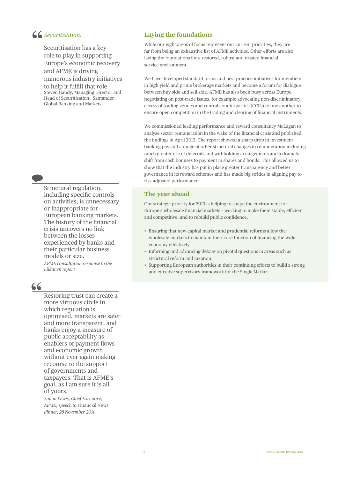#### *Securitisation:*

Securitisation has a key role to play in supporting Europe's economic recovery and AFME is driving numerous industry initiatives to help it fulfill that role. Steven Gandy, Managing Director and Head of Securitisation, Santander Global Banking and Markets

Structural regulation, including specific controls on activities, is unnecessary or inappropriate for European banking markets. The history of the financial crisis uncovers no link between the losses experienced by banks and their particular business models or size.

*AFME consultation response to the Liikanen report*

## 66

Restoring trust can create a more virtuous circle in which regulation is optimised, markets are safer and more transparent, and banks enjoy a measure of public acceptability as enablers of payment flows and economic growth without ever again making recourse to the support of governments and taxpayers. That is AFME's goal, as I am sure it is all of yours.

*Simon Lewis, Chief Executive, AFME, speech to* Financial News *dinner, 28 November 2011*

#### **Laying the foundations**

 While our eight areas of focus represent our current priorities, they are far from being an exhaustive list of AFME activities. Other efforts are also laying the foundations for a restored, robust and trusted financial service environment.

 We have developed standard forms and best practice initiatives for members in high yield and prime brokerage markets and become a forum for dialogue between buy-side and sell-side. AFME has also been busy across Europe negotiating on post-trade issues, for example advocating non-discriminatory access of trading venues and central counterparties (CCPs) to one another to ensure open competition in the trading and clearing of financial instruments.

 We commissioned leading performance and reward consultancy McLagan to analyse sector remuneration in the wake of the financial crisis and published the findings in April 2012. The report showed a sharp drop in investment banking pay and a range of other structural changes in remuneration including much greater use of deferrals and withholding arrangements and a dramatic shift from cash bonuses to payment in shares and bonds. This allowed us to show that the industry has put in place greater transparency and better governance in its reward schemes and has made big strides in aligning pay to risk-adjusted performance.

#### **The year ahead**

 Our strategic priority for 2013 is helping to shape the environment for Europe's wholesale financial markets - working to make them stable, efficient and competitive, and to rebuild public confidence.

- Ensuring that new capital market and prudential reforms allow the wholesale markets to maintain their core function of financing the wider economy effectively.
- Informing and advancing debate on pivotal questions in areas such as structural reform and taxation.
- Supporting European authorities in their continuing efforts to build a strong and effective supervisory framework for the Single Market.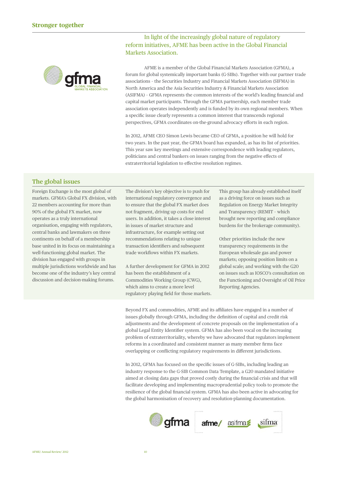

In light of the increasingly global nature of regulatory reform initiatives, AFME has been active in the Global Financial Markets Association.

AFME is a member of the Global Financial Markets Association (GFMA), a forum for global systemically important banks (G-SIBs). Together with our partner trade associations – the Securities Industry and Financial Markets Association (SIFMA) in North America and the Asia Securities Industry & Financial Markets Association (ASIFMA) - GFMA represents the common interests of the world's leading financial and capital market participants. Through the GFMA partnership, each member trade association operates independently and is funded by its own regional members. When a specific issue clearly represents a common interest that transcends regional perspectives, GFMA coordinates on-the-ground advocacy efforts in each region.

In 2012, AFME CEO Simon Lewis became CEO of GFMA, a position he will hold for two years. In the past year, the GFMA board has expanded, as has its list of priorities. This year saw key meetings and extensive correspondence with leading regulators, politicians and central bankers on issues ranging from the negative effects of extraterritorial legislation to effective resolution regimes.

#### **The global issues**

Foreign Exchange is the most global of markets. GFMA's Global FX division, with 22 members accounting for more than 90% of the global FX market, now operates as a truly international organisation, engaging with regulators, central banks and lawmakers on three continents on behalf of a membership base united in its focus on maintaining a well-functioning global market. The division has engaged with groups in multiple jurisdictions worldwide and has become one of the industry's key central discussion and decision-making forums.

The division's key objective is to push for international regulatory convergence and to ensure that the global FX market does not fragment, driving up costs for end users. In addition, it takes a close interest in issues of market structure and infrastructure, for example setting out recommendations relating to unique transaction identifiers and subsequent trade workflows within FX markets.

A further development for GFMA in 2012 has been the establishment of a Commodities Working Group (CWG), which aims to create a more level regulatory playing field for those markets.

This group has already established itself as a driving force on issues such as Regulation on Energy Market Integrity and Transparency (REMIT – which brought new reporting and compliance burdens for the brokerage community).

Other priorities include the new transparency requirements in the European wholesale gas and power markets; opposing position limits on a global scale; and working with the G20 on issues such as IOSCO's consultation on the Functioning and Oversight of Oil Price Reporting Agencies.

Beyond FX and commodities, AFME and its affiliates have engaged in a number of issues globally through GFMA, including the definition of capital and credit risk adjustments and the development of concrete proposals on the implementation of a global Legal Entity Identifier system. GFMA has also been vocal on the increasing problem of extraterritoriality, whereby we have advocated that regulators implement reforms in a coordinated and consistent manner as many member firms face overlapping or conflicting regulatory requirements in different jurisdictions.

In 2012, GFMA has focused on the specific issues of G-SIBs, including leading an industry response to the G-SIB Common Data Template, a G20 mandated initiative aimed at closing data gaps that proved costly during the financial crisis and that will facilitate developing and implementing macroprudential policy tools to promote the resilience of the global financial system. GFMA has also been active in advocating for the global harmonisation of recovery and resolution-planning documentation.

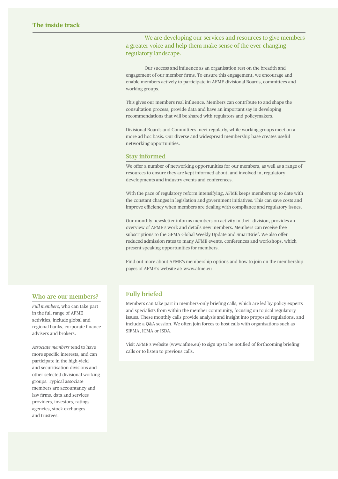We are developing our services and resources to give members a greater voice and help them make sense of the ever-changing regulatory landscape.

Our success and influence as an organisation rest on the breadth and engagement of our member firms. To ensure this engagement, we encourage and enable members actively to participate in AFME divisional Boards, committees and working groups.

This gives our members real influence. Members can contribute to and shape the consultation process, provide data and have an important say in developing recommendations that will be shared with regulators and policymakers.

Divisional Boards and Committees meet regularly, while working groups meet on a more ad hoc basis. Our diverse and widespread membership base creates useful networking opportunities.

#### **Stay informed**

We offer a number of networking opportunities for our members, as well as a range of resources to ensure they are kept informed about, and involved in, regulatory developments and industry events and conferences.

With the pace of regulatory reform intensifying, AFME keeps members up to date with the constant changes in legislation and government initiatives. This can save costs and improve efficiency when members are dealing with compliance and regulatory issues.

Our monthly newsletter informs members on activity in their division, provides an overview of AFME's work and details new members. Members can receive free subscriptions to the GFMA Global Weekly Update and SmartBrief. We also offer reduced admission rates to many AFME events, conferences and workshops, which present speaking opportunities for members.

Find out more about AFME's membership options and how to join on the membership pages of AFME's website at: www.afme.eu

#### **Who are our members?**

*Full members,* who can take part in the full range of AFME activities, include global and regional banks, corporate finance advisers and brokers.

*Associate members* tend to have more specific interests, and can participate in the high-yield and securitisation divisions and other selected divisional working groups. Typical associate members are accountancy and law firms, data and services providers, investors, ratings agencies, stock exchanges and trustees.

#### **Fully briefed**

Members can take part in members-only briefing calls, which are led by policy experts and specialists from within the member community, focusing on topical regulatory issues. These monthly calls provide analysis and insight into proposed regulations, and include a Q&A session. We often join forces to host calls with organisations such as SIFMA, ICMA or ISDA.

Visit AFME's website (www.afme.eu) to sign up to be notified of forthcoming briefing calls or to listen to previous calls.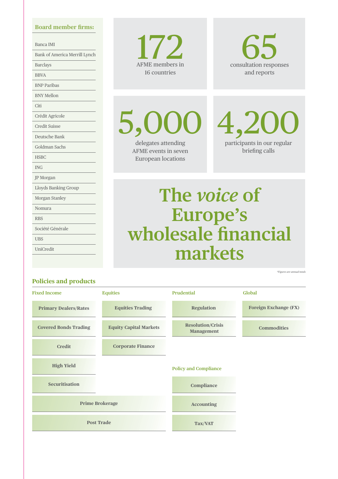#### **Board member firms:**

Banca IMI Bank of America Merrill Lynch Barclays BBVA BNP Paribas BNY Mellon Citi Crédit Agricole Credit Suisse Deutsche Bank Goldman Sachs **HSBC** ING JP Morgan Lloyds Banking Group Morgan Stanley Nomura RBS Société Générale UBS UniCredit

**Policies and products**

## AFME members in 17 16 countries



5,00 delegates attending

AFME events in seven European locations

 $4,20$ participants in our regular briefing calls

# **The** *voice* **of Europe's wholesale financial markets**

*\*Figures are annual totals*

#### **Primary Dealers/Rates Fixed Income Equities Prudential Policy and Compliance Global Covered Bonds Trading Securitisation Credit Prime Brokerage High Yield Post Trade Equities Trading Equity Capital Markets Corporate Finance Regulation Resolution/Crisis Management Compliance Accounting Tax/VAT Foreign Exchange (FX) Commodities**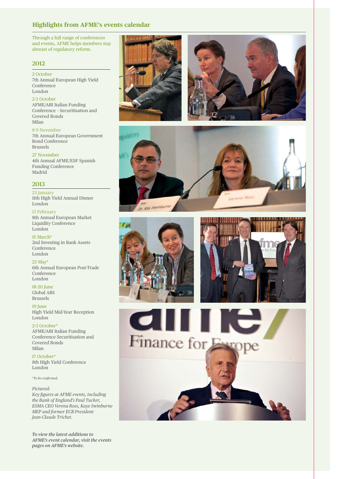#### **Highlights from AFME's events calendar**

Through a full range of conferences and events, AFME helps members stay abreast of regulatory reform.

#### **2012**

2 October 7th Annual European High Yield Conference London

2-3 October AFME/ABI Italian Funding Conference – Securitisation and Covered Bonds Milan

8-9 November 7th Annual European Government Bond Conference Brussels

27 November 4th Annual AFME/ESF Spanish Funding Conference Madrid

#### **2013**

23 January 11th High Yield Annual Dinner London

13 February 8th Annual European Market Liquidity Conference London

15 March\* 2nd Investing in Bank Assets Conference London

23 May\* 6th Annual European Post-Trade Conference London

18-20 June Global ABS Brussels

19 June High Yield Mid-Year Reception London

2-3 October\* AFME/ABI Italian Funding Conference Securitisation and Covered Bonds Milan

17 October\* 8th High Yield Conference London

*\*To be confi rmed.*

*Pictured:* 

*Key figures at AFME events, including the Bank of England's Paul Tucker, ESMA CEO Verena Ross, Kaye Swinburne MEP and former ECB President Jean-Claude Trichet.*

*To view the latest additions to AFME's event calendar, visit the events pages on AFME's website.*